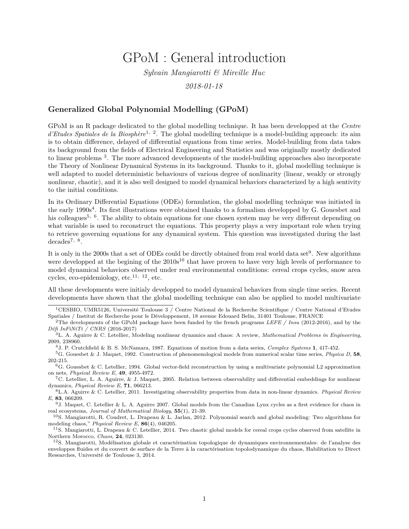## GPoM : General introduction

*Sylvain Mangiarotti & Mireille Huc*

*2018-01-18*

## **Generalized Global Polynomial Modelling (GPoM)**

GPoM is an R package dedicated to the global modelling technique. It has been developped at the *Centre* d'Etudes Spatiales de la Biosphère<sup>[1](#page-0-0), [2](#page-0-1)</sup>. The global modelling technique is a model-building approach: its aim is to obtain difference, delayed of differential equations from time series. Model-building from data takes its background from the fields of Electrical Engineering and Statistics and was originally mostly dedicated to linear problems <sup>[3](#page-0-2)</sup>. The more advanced developments of the model-building approaches also incorporate the Theory of Nonlinear Dynamical Systems in its background. Thanks to it, global modelling technique is well adapted to model deterministic behaviours of various degree of nonlinarity (linear, weakly or strongly nonlinear, chaotic), and it is also well designed to model dynamical behaviors characterized by a high sentivity to the initial conditions.

In its Ordinary Differential Equations (ODEs) formulation, the global modelling technique was initiated in the early 1990s<sup>[4](#page-0-3)</sup>. Its first illustrations were obtained thanks to a formalism developped by G. Gouesbet and his colleagues<sup>[5](#page-0-4), [6](#page-0-5)</sup>. The ability to obtain equations for one chosen system may be very different depending on what variable is used to reconstruct the equations. This property plays a very important role when trying to retrieve governing equations for any dynamical system. This question was investigated during the last decades[7](#page-0-6)*,* [8](#page-0-7) .

It is only in the 2000s that a set of ODEs could be directly obtained from real world data set<sup>[9](#page-0-8)</sup>. New algorithms were developped at the begining of the  $2010s^{10}$  $2010s^{10}$  $2010s^{10}$  that have proven to have very high levels of performance to model dynamical behaviors observed under real environmental conditions: cereal crops cycles, snow area cycles, eco-epidemiology, etc.[11](#page-0-10)*,* [12](#page-0-11), etc.

All these developments were initialy developped to model dynamical behaviors from single time series. Recent developments have shown that the global modelling technique can also be applied to model multivariate

<span id="page-0-5"></span> $6G$ . Gouesbet & C. Letellier, 1994. Global vector-field reconstruction by using a multivariate polynomial L2 approximation on nets, *Physical Review E*, **49**, 4955-4972.

<span id="page-0-7"></span><sup>8</sup>L.A. Aguirre & C. Letellier, 2011. Investigating observability properties from data in non-linear dynamics. *Physical Review E*, **83**, 066209.

<span id="page-0-0"></span><sup>1</sup>CESBIO, UMR5126, Université Toulouse 3 / Centre National de la Recherche Scientifique / Centre National d'Etudes Spatiales / Institut de Recherche pour le Développement, 18 avenue Edouard Belin, 31401 Toulouse, FRANCE

<span id="page-0-1"></span><sup>2</sup>The developments of the GPoM package have been funded by the french programs *LEFE / Insu* (2012-2016), and by the *Défi InFiNiTi / CNRS* (2016-2017)

<span id="page-0-2"></span><sup>3</sup>L. A. Aguirre & C. Letellier, Modeling nonlinear dynamics and chaos: A review, *Mathematical Problems in Engineering*, 2009, 238960.

<span id="page-0-4"></span><span id="page-0-3"></span><sup>4</sup>J. P. Crutchfield & B. S. McNamara, 1987. Equations of motion from a data series, *Complex Systems* **1**, 417-452.

<sup>5</sup>G. Gouesbet & J. Maquet, 1992. Construction of phenomenological models from numerical scalar time series, *Physica D*, **58**, 202-215.

<span id="page-0-6"></span><sup>&</sup>lt;sup>7</sup>C. Letellier, L. A. Aguirre, & J. Maquet, 2005. Relation between observability and differential embeddings for nonlinear dynamics, *Physical Review E*, **71**, 066213.

<span id="page-0-8"></span><sup>9</sup>J. Maquet, C. Letellier & L. A. Aguirre 2007. Global models from the Canadian Lynx cycles as a first evidence for chaos in real ecosystems, *Journal of Mathematical Biology*, **55**(1), 21-39.

<span id="page-0-9"></span><sup>&</sup>lt;sup>10</sup>S. Mangiarotti, R. Coudret, L. Drapeau & L. Jarlan, 2012. Polynomial search and global modeling: Two algorithms for modeling chaos," *Physical Review E*, **86**(4), 046205.

<span id="page-0-10"></span> $11$ S. Mangiarotti, L. Drapeau & C. Letellier, 2014. Two chaotic global models for cereal crops cycles observed from satellite in Northern Morocco, *Chaos*, **24**, 023130.

<span id="page-0-11"></span><sup>12</sup>S. Mangiarotti, Modélisation globale et caractérisation topologique de dynamiques environnementales: de l'analyse des enveloppes fluides et du couvert de surface de la Terre à la caractérisation topolodynamique du chaos, Habilitation to Direct Researches, Université de Toulouse 3, 2014.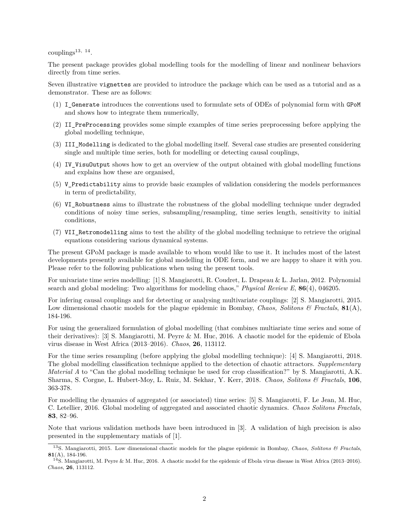couplings[13](#page-1-0)*,* [14](#page-1-1) .

The present package provides global modelling tools for the modelling of linear and nonlinear behaviors directly from time series.

Seven illustrative vignettes are provided to introduce the package which can be used as a tutorial and as a demonstrator. These are as follows:

- (1) I\_Generate introduces the conventions used to formulate sets of ODEs of polynomial form with GPoM and shows how to integrate them numerically,
- (2) II\_PreProcessing provides some simple examples of time series preprocessing before applying the global modelling technique,
- (3) III\_Modelling is dedicated to the global modelling itself. Several case studies are presented considering single and multiple time series, both for modelling or detecting causal couplings,
- (4) IV\_VisuOutput shows how to get an overview of the output obtained with global modelling functions and explains how these are organised,
- (5) V\_Predictability aims to provide basic examples of validation considering the models performances in term of predictability,
- (6) VI\_Robustness aims to illustrate the robustness of the global modelling technique under degraded conditions of noisy time series, subsampling/resampling, time series length, sensitivity to initial conditions,
- (7) VII\_Retromodelling aims to test the ability of the global modelling technique to retrieve the original equations considering various dynamical systems.

The present GPoM package is made available to whom would like to use it. It includes most of the latest developments presently available for global modelling in ODE form, and we are happy to share it with you. Please refer to the following publications when using the present tools.

For univariate time series modelling: [1] S. Mangiarotti, R. Coudret, L. Drapeau & L. Jarlan, 2012. Polynomial search and global modeling: Two algorithms for modeling chaos," *Physical Review E*, **86**(4), 046205.

For infering causal couplings and for detecting or analysing multivariate couplings: [2] S. Mangiarotti, 2015. Low dimensional chaotic models for the plague epidemic in Bombay, *Chaos, Solitons & Fractals*, **81**(A), 184-196.

For using the generalized formulation of global modelling (that combines multiariate time series and some of their derivatives): [3] S. Mangiarotti, M. Peyre & M. Huc, 2016. A chaotic model for the epidemic of Ebola virus disease in West Africa (2013–2016). *Chaos*, **26**, 113112.

For the time series resampling (before applying the global modelling technique): [4] S. Mangiarotti, 2018. The global modelling classification technique applied to the detection of chaotic attractors. *Supplementary Material A* to "Can the global modelling technique be used for crop classification?" by S. Mangiarotti, A.K. Sharma, S. Corgne, L. Hubert-Moy, L. Ruiz, M. Sekhar, Y. Kerr, 2018. *Chaos, Solitons & Fractals*, **106**, 363-378.

For modelling the dynamics of aggregated (or associated) time series: [5] S. Mangiarotti, F. Le Jean, M. Huc, C. Letellier, 2016. Global modeling of aggregated and associated chaotic dynamics. *Chaos Solitons Fractals*, **83**, 82–96.

Note that various validation methods have been introduced in [3]. A validation of high precision is also presented in the supplementary matials of [1].

<span id="page-1-0"></span><sup>13</sup>S. Mangiarotti, 2015. Low dimensional chaotic models for the plague epidemic in Bombay, *Chaos, Solitons & Fractals*, **81**(A), 184-196.

<span id="page-1-1"></span><sup>&</sup>lt;sup>14</sup>S. Mangiarotti, M. Peyre & M. Huc, 2016. A chaotic model for the epidemic of Ebola virus disease in West Africa (2013–2016). *Chaos*, **26**, 113112.